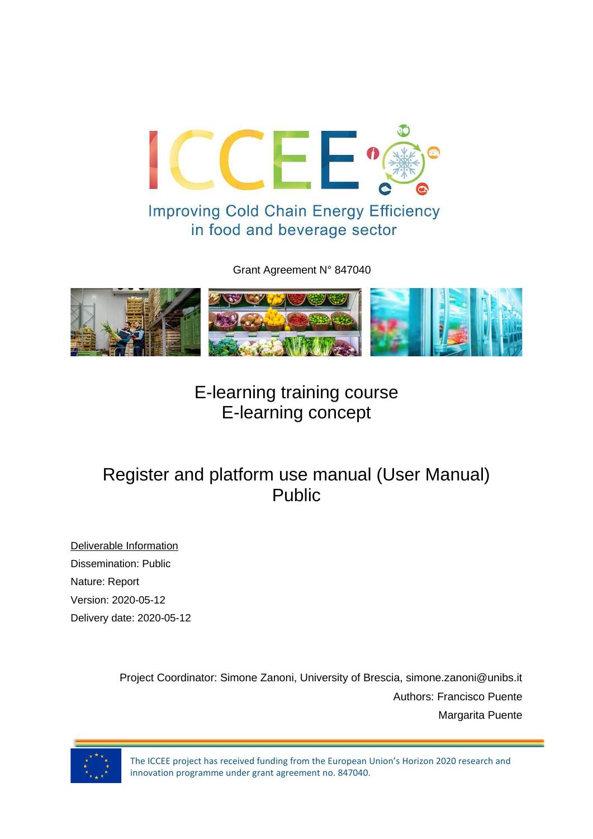

Grant Agreement N° 847040



E-learning training course E-learning concept

# Register and platform use manual (User Manual) Public

Deliverable Information Dissemination: Public Nature: Report Version: 2020-05-12 Delivery date: 2020-05-12

> Project Coordinator: Simone Zanoni, University of Brescia, simone.zanoni@unibs.it Authors: Francisco Puente Margarita Puente



The ICCEE project has received funding from the European Union's Horizon 2020 research and innovation programme under grant agreement no. 847040.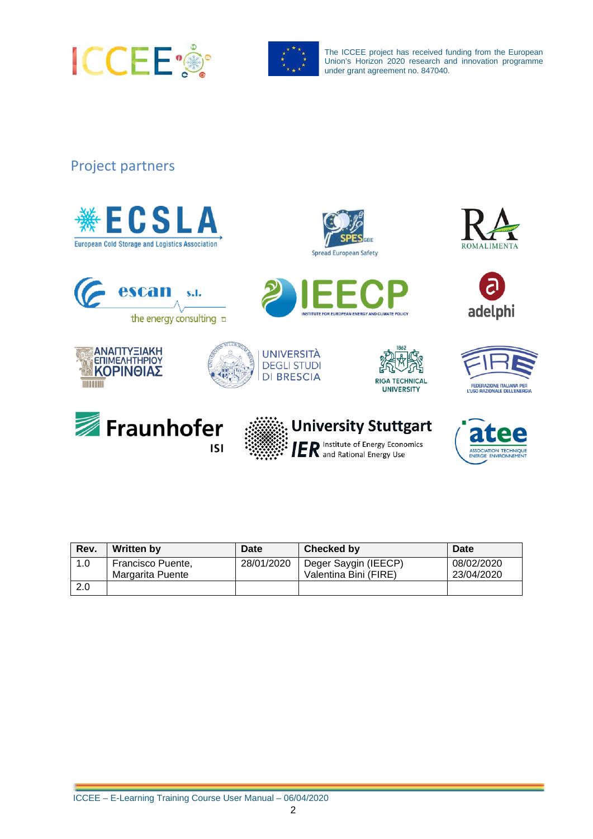



### Project partners









| Rev. | <b>Written by</b>                     | <b>Date</b> | Checked by                                    | Date                     |
|------|---------------------------------------|-------------|-----------------------------------------------|--------------------------|
| 1.0  | Francisco Puente,<br>Margarita Puente | 28/01/2020  | Deger Saygin (IEECP)<br>Valentina Bini (FIRE) | 08/02/2020<br>23/04/2020 |
| 2.0  |                                       |             |                                               |                          |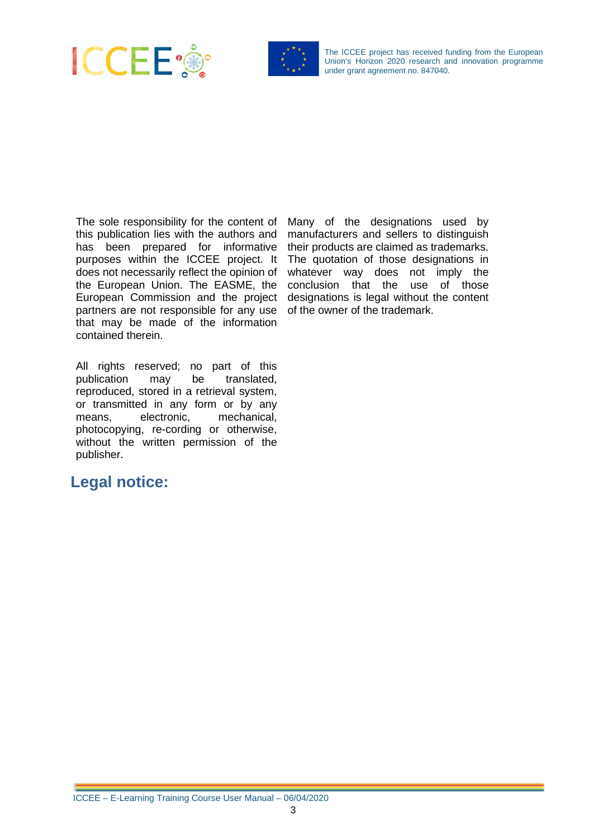



The sole responsibility for the content of this publication lies with the authors and has been prepared for informative purposes within the ICCEE project. It does not necessarily reflect the opinion of the European Union. The EASME, the European Commission and the project partners are not responsible for any use that may be made of the information contained therein.

Many of the designations used by manufacturers and sellers to distinguish their products are claimed as trademarks. The quotation of those designations in whatever way does not imply the conclusion that the use of those designations is legal without the content of the owner of the trademark.

All rights reserved; no part of this<br>publication may be translated. publication may reproduced, stored in a retrieval system, or transmitted in any form or by any means, electronic, mechanical, photocopying, re-cording or otherwise, without the written permission of the publisher.

### <span id="page-2-0"></span>**Legal notice:**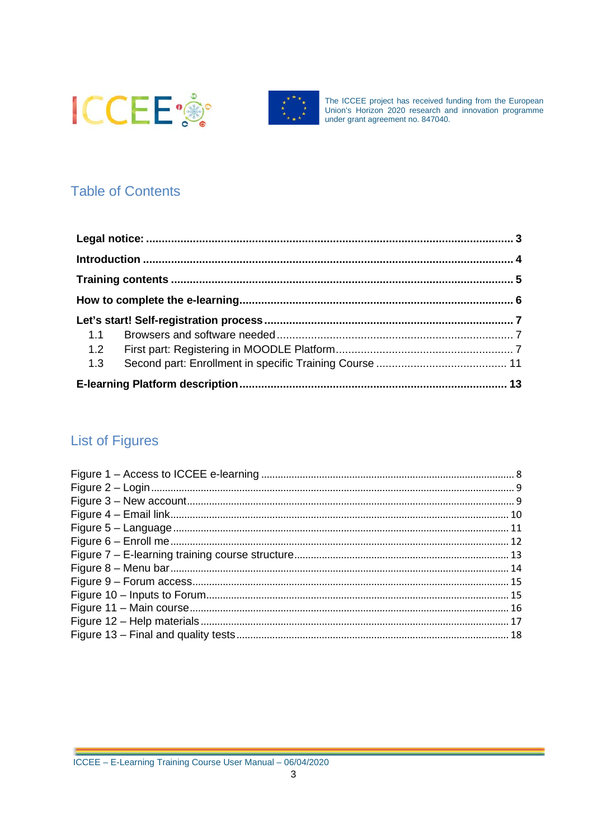



## **Table of Contents**

| 1.1 |  |
|-----|--|
| 1.2 |  |
| 1.3 |  |
|     |  |

## **List of Figures**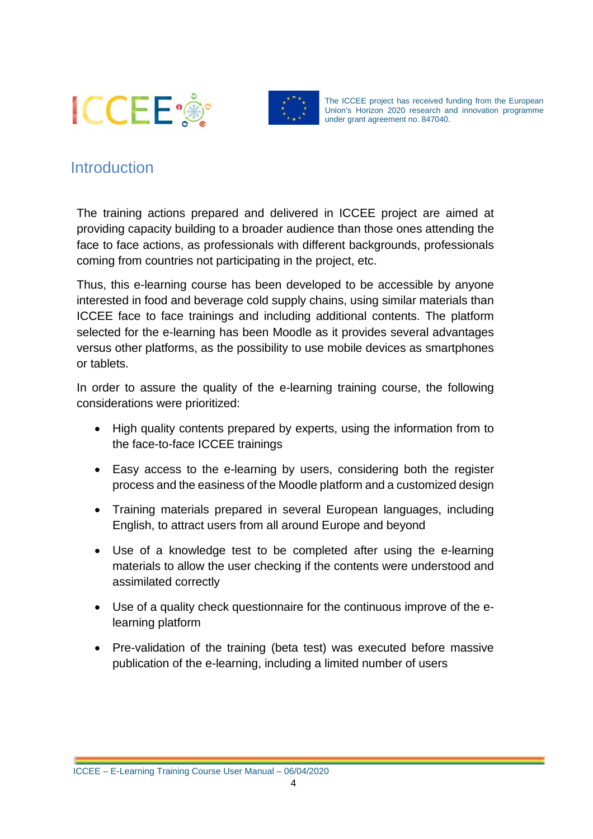



## <span id="page-5-0"></span>**Introduction**

The training actions prepared and delivered in ICCEE project are aimed at providing capacity building to a broader audience than those ones attending the face to face actions, as professionals with different backgrounds, professionals coming from countries not participating in the project, etc.

Thus, this e-learning course has been developed to be accessible by anyone interested in food and beverage cold supply chains, using similar materials than ICCEE face to face trainings and including additional contents. The platform selected for the e-learning has been Moodle as it provides several advantages versus other platforms, as the possibility to use mobile devices as smartphones or tablets.

In order to assure the quality of the e-learning training course, the following considerations were prioritized:

- High quality contents prepared by experts, using the information from to the face-to-face ICCEE trainings
- Easy access to the e-learning by users, considering both the register process and the easiness of the Moodle platform and a customized design
- Training materials prepared in several European languages, including English, to attract users from all around Europe and beyond
- Use of a knowledge test to be completed after using the e-learning materials to allow the user checking if the contents were understood and assimilated correctly
- Use of a quality check questionnaire for the continuous improve of the elearning platform
- Pre-validation of the training (beta test) was executed before massive publication of the e-learning, including a limited number of users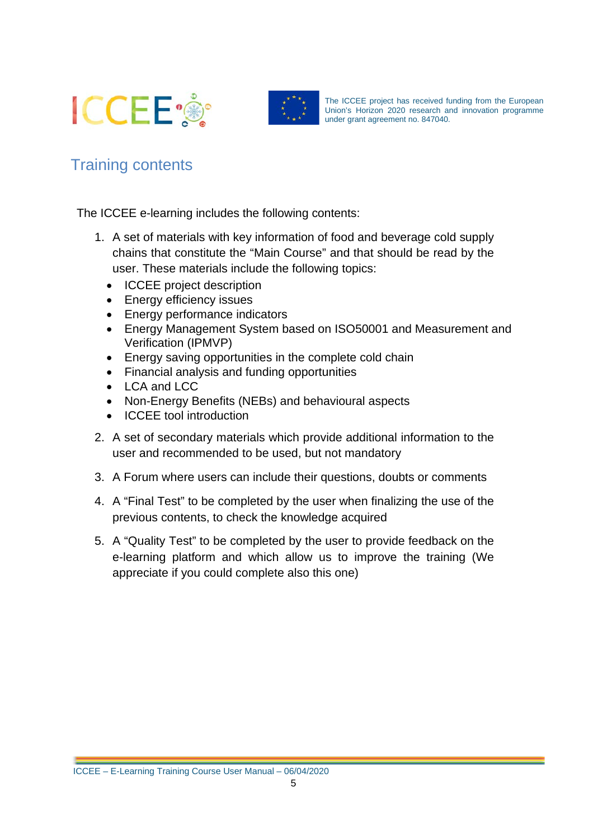



## <span id="page-6-0"></span>Training contents

The ICCEE e-learning includes the following contents:

- 1. A set of materials with key information of food and beverage cold supply chains that constitute the "Main Course" and that should be read by the user. These materials include the following topics:
	- ICCEE project description
	- Energy efficiency issues
	- Energy performance indicators
	- Energy Management System based on ISO50001 and Measurement and Verification (IPMVP)
	- Energy saving opportunities in the complete cold chain
	- Financial analysis and funding opportunities
	- LCA and LCC
	- Non-Energy Benefits (NEBs) and behavioural aspects
	- ICCEE tool introduction
- 2. A set of secondary materials which provide additional information to the user and recommended to be used, but not mandatory
- 3. A Forum where users can include their questions, doubts or comments
- 4. A "Final Test" to be completed by the user when finalizing the use of the previous contents, to check the knowledge acquired
- 5. A "Quality Test" to be completed by the user to provide feedback on the e-learning platform and which allow us to improve the training (We appreciate if you could complete also this one)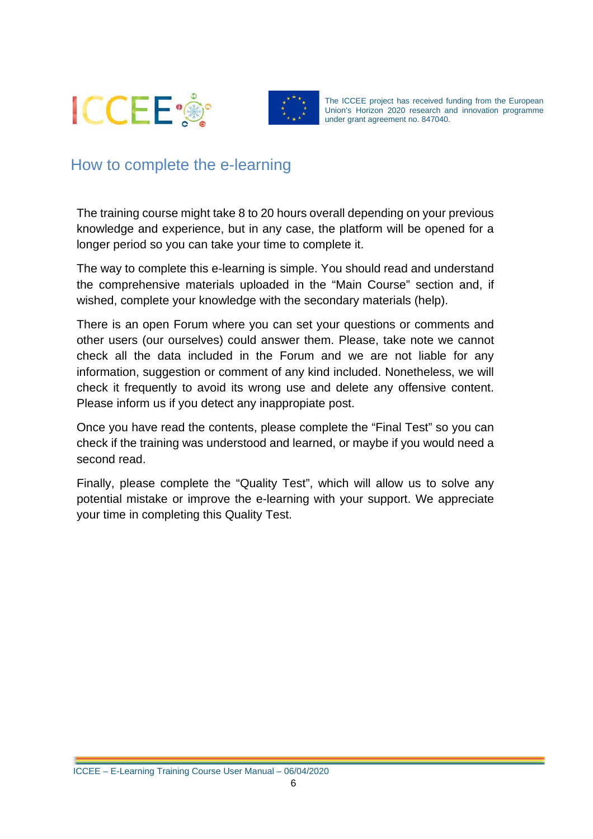



## <span id="page-7-0"></span>How to complete the e-learning

The training course might take 8 to 20 hours overall depending on your previous knowledge and experience, but in any case, the platform will be opened for a longer period so you can take your time to complete it.

The way to complete this e-learning is simple. You should read and understand the comprehensive materials uploaded in the "Main Course" section and, if wished, complete your knowledge with the secondary materials (help).

There is an open Forum where you can set your questions or comments and other users (our ourselves) could answer them. Please, take note we cannot check all the data included in the Forum and we are not liable for any information, suggestion or comment of any kind included. Nonetheless, we will check it frequently to avoid its wrong use and delete any offensive content. Please inform us if you detect any inappropiate post.

Once you have read the contents, please complete the "Final Test" so you can check if the training was understood and learned, or maybe if you would need a second read.

Finally, please complete the "Quality Test", which will allow us to solve any potential mistake or improve the e-learning with your support. We appreciate your time in completing this Quality Test.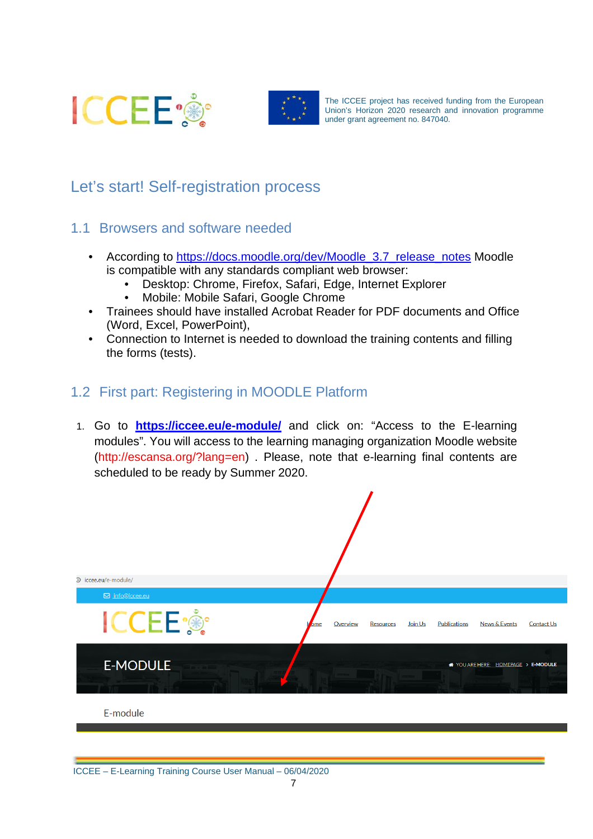



## <span id="page-8-0"></span>Let's start! Self-registration process

- <span id="page-8-1"></span>1.1 Browsers and software needed
	- According to [https://docs.moodle.org/dev/Moodle\\_3.7\\_release\\_notes](https://docs.moodle.org/dev/Moodle_3.7_release_notes) Moodle is compatible with any standards compliant web browser:
		- Desktop: Chrome, Firefox, Safari, Edge, Internet Explorer
		- Mobile: Mobile Safari, Google Chrome
	- Trainees should have installed Acrobat Reader for PDF documents and Office (Word, Excel, PowerPoint),
	- Connection to Internet is needed to download the training contents and filling the forms (tests).

### <span id="page-8-2"></span>1.2 First part: Registering in MOODLE Platform

1. Go to **<https://iccee.eu/e-module/>** and click on: "Access to the E-learning modules". You will access to the learning managing organization Moodle website (http://escansa.org/?lang=en) . Please, note that e-learning final contents are scheduled to be ready by Summer 2020.

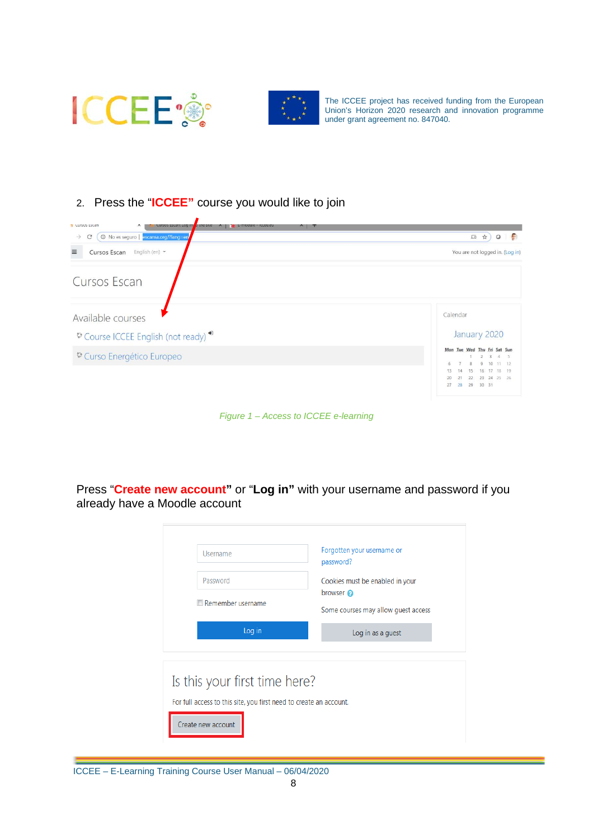



## 2. Press the "**ICCEE"** course you would like to join

| 1 No es seguro   escansa.org/?lang=en<br>$\rightarrow$<br>$\mathcal{C}$ | - 69<br>□ ☆)<br>$\circ$                                                                                                    |
|-------------------------------------------------------------------------|----------------------------------------------------------------------------------------------------------------------------|
| $\equiv$<br>Cursos Escan<br>English (en) $\star$                        | You are not logged in. (Log in)                                                                                            |
| Cursos Escan                                                            |                                                                                                                            |
| Available courses                                                       | Calendar                                                                                                                   |
| Course ICCEE English (not ready) <sup>3</sup>                           | January 2020                                                                                                               |
| <sup>6</sup> Curso Energético Europeo                                   | Mon Tue Wed Thu Eri Sat Sun<br>$3 \t4 \t5$<br>$\overline{2}$                                                               |
|                                                                         | $11 - 12$<br>10 <sup>10</sup><br>16 17 18 19<br>14<br>13<br>15<br>23 24 25 26<br>20<br>21<br>22<br>28<br>27<br>29<br>30 31 |

*Figure 1 – Access to ICCEE e-learning*

<span id="page-9-0"></span>Press "**Create new account"** or "**Log in"** with your username and password if you already have a Moodle account

| Username<br>Password<br>Remember username                                                           | Forgotten your username or<br>password?<br>Cookies must be enabled in your<br>browser @<br>Some courses may allow guest access |  |
|-----------------------------------------------------------------------------------------------------|--------------------------------------------------------------------------------------------------------------------------------|--|
| Log in                                                                                              | Log in as a guest                                                                                                              |  |
| Is this your first time here?<br>For full access to this site, you first need to create an account. |                                                                                                                                |  |
| Create new account                                                                                  |                                                                                                                                |  |

ICCEE – E-Learning Training Course User Manual – 06/04/2020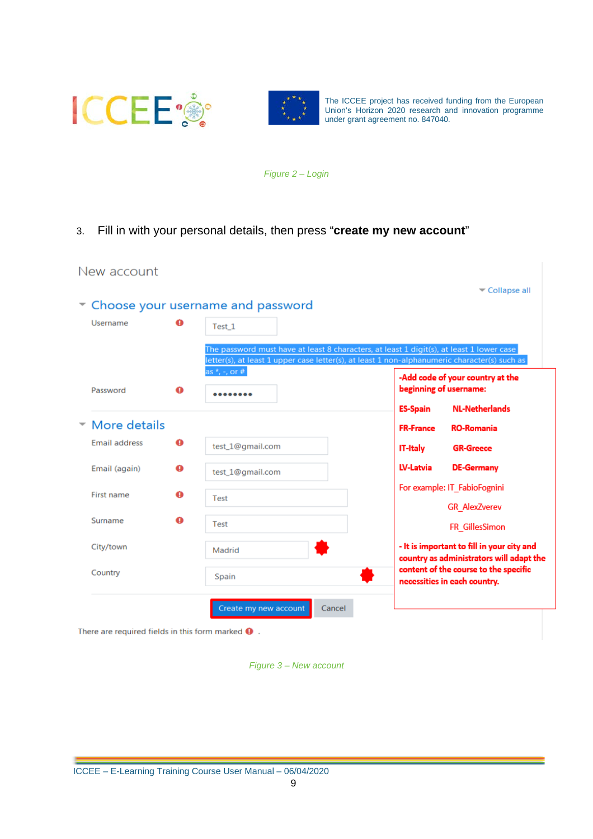



*Figure 2 – Login*

<span id="page-10-0"></span>3. Fill in with your personal details, then press "**create my new account**"

| New account          |   |                                                                                                                                                                                          |                  |                                                                                        |
|----------------------|---|------------------------------------------------------------------------------------------------------------------------------------------------------------------------------------------|------------------|----------------------------------------------------------------------------------------|
|                      |   | Choose your username and password                                                                                                                                                        |                  | $\blacktriangleright$ Collapse all                                                     |
| Username             | o | Test_1                                                                                                                                                                                   |                  |                                                                                        |
|                      |   | The password must have at least 8 characters, at least 1 digit(s), at least 1 lower case<br>letter(s), at least 1 upper case letter(s), at least 1 non-alphanumeric character(s) such as |                  |                                                                                        |
| Password             | ❶ | as $*$ , -, or # $ $                                                                                                                                                                     |                  | -Add code of your country at the<br>beginning of username:                             |
|                      |   |                                                                                                                                                                                          | <b>ES-Spain</b>  | <b>NL-Netherlands</b>                                                                  |
| More details         |   |                                                                                                                                                                                          | <b>FR-France</b> | <b>RO-Romania</b>                                                                      |
| <b>Email address</b> | ❶ | test 1@gmail.com                                                                                                                                                                         | <b>IT-Italy</b>  | <b>GR-Greece</b>                                                                       |
| Email (again)        | ❶ | test_1@gmail.com                                                                                                                                                                         | <b>LV-Latvia</b> | <b>DE-Germany</b>                                                                      |
| First name           | ❶ | <b>Test</b>                                                                                                                                                                              |                  | For example: IT_FabioFognini                                                           |
| Surname              | ◕ | Test                                                                                                                                                                                     |                  | <b>GR AlexZverev</b><br>FR GillesSimon                                                 |
| City/town            |   | Madrid                                                                                                                                                                                   |                  | - It is important to fill in your city and<br>country as administrators will adapt the |
| Country              |   | Spain                                                                                                                                                                                    |                  | content of the course to the specific<br>necessities in each country.                  |
|                      |   | Create my new account<br>Cancel                                                                                                                                                          |                  |                                                                                        |

<span id="page-10-1"></span>There are required fields in this form marked  $\mathbf \Theta$ .

*Figure 3 – New account*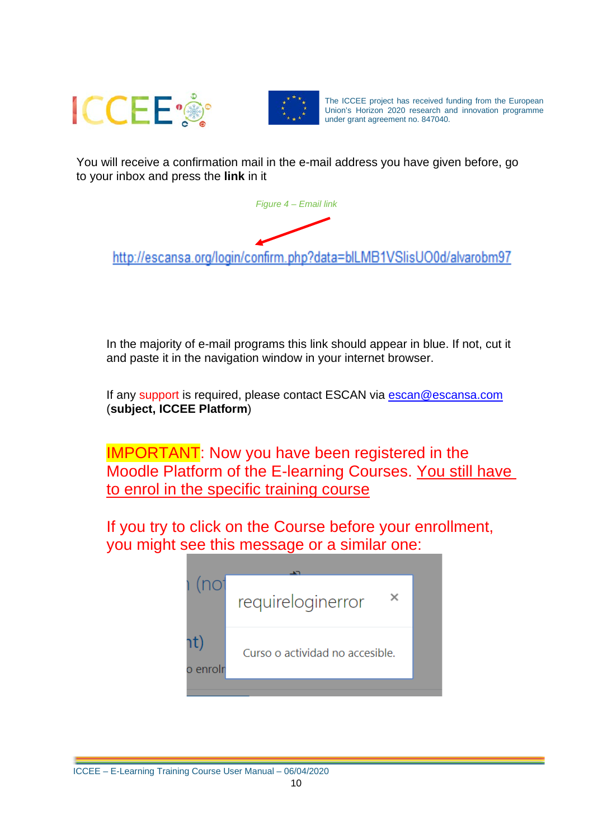



<span id="page-11-0"></span>You will receive a confirmation mail in the e-mail address you have given before, go to your inbox and press the **link** in it



http://escansa.org/login/confirm.php?data=blLMB1VSlisUO0d/alvarobm97

In the majority of e-mail programs this link should appear in blue. If not, cut it and paste it in the navigation window in your internet browser.

If any support is required, please contact ESCAN via [escan@escansa.com](mailto:escan@escansa.com) (**subject, ICCEE Platform**)

IMPORTANT: Now you have been registered in the Moodle Platform of the E-learning Courses. You still have to enrol in the specific training course

If you try to click on the Course before your enrollment, you might see this message or a similar one:

| (no <sup>-</sup> | requireloginerror               |  |
|------------------|---------------------------------|--|
| าt)<br>o enrolr  | Curso o actividad no accesible. |  |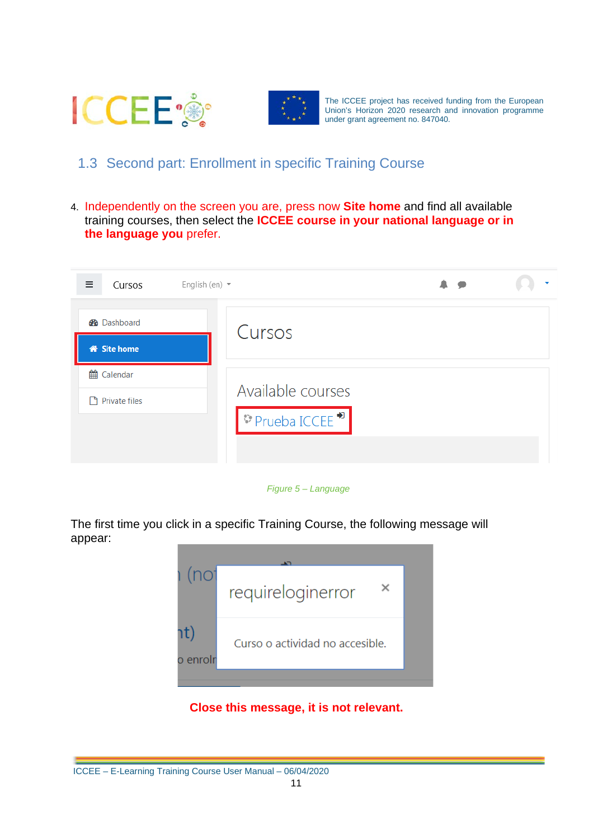



## <span id="page-12-0"></span>1.3 Second part: Enrollment in specific Training Course

4. Independently on the screen you are, press now **Site home** and find all available training courses, then select the **ICCEE course in your national language or in the language you** prefer.

| ≡<br>Cursos                              | English (en) $\star$                              |  |
|------------------------------------------|---------------------------------------------------|--|
| <b>B</b> Dashboard<br><b>W</b> Site home | Cursos                                            |  |
| the Calendar<br>Private files            | Available courses<br>$\triangledown$ Prueba ICCEE |  |

#### *Figure 5 – Language*

<span id="page-12-1"></span>The first time you click in a specific Training Course, the following message will appear:



#### **Close this message, it is not relevant.**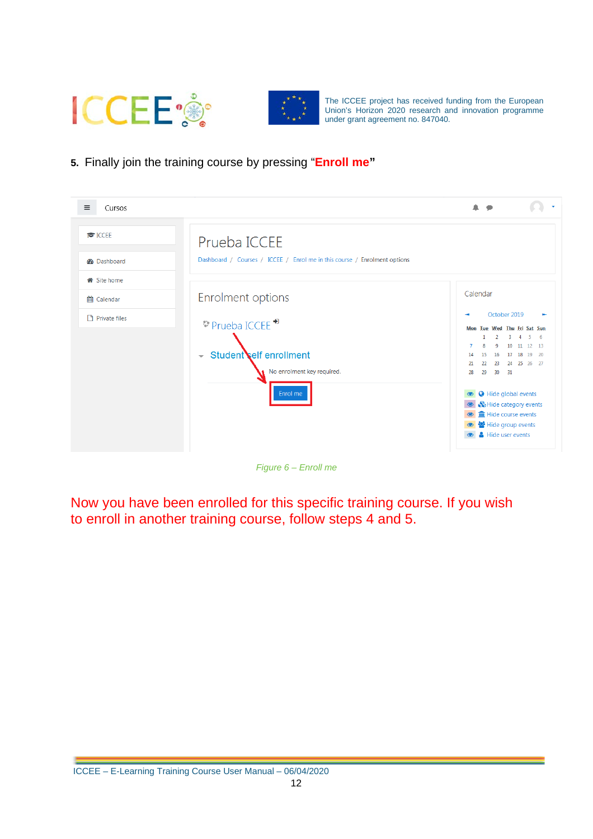



**5.** Finally join the training course by pressing "**Enroll me"**

| $\equiv$<br>Cursos                                |                                                                                                                     |                                                                                                                                                                                                                                                                                                                                                                     |
|---------------------------------------------------|---------------------------------------------------------------------------------------------------------------------|---------------------------------------------------------------------------------------------------------------------------------------------------------------------------------------------------------------------------------------------------------------------------------------------------------------------------------------------------------------------|
| <b>E</b> ICCEE<br><b>B</b> Dashboard<br>Site home | Prueba ICCEE<br>Dashboard / Courses / ICCEE / Enrol me in this course / Enrolment options                           |                                                                                                                                                                                                                                                                                                                                                                     |
| th Calendar<br>Private files                      | Enrolment options<br>$\vee$ Prueba ICCEE<br>$\sim$ Student elf enrollment<br>No enrolment key required.<br>Enrol me | Calendar<br>October 2019<br>Mon Tue Wed Thu Fri Sat Sun<br>2<br>3<br>-5<br>$6^{\circ}$<br>$\overline{4}$<br>10 <sup>1</sup><br>11 12 13<br>16<br>17 18 19 20<br>15<br>14<br>24 25 26 27<br>22<br>23<br>21<br>29<br>30 <sub>o</sub><br>28<br>31<br>Hide global events<br>So Hide category events<br>film Hide course events<br>Hide group events<br>Hide user events |

*Figure 6 – Enroll me*

<span id="page-13-0"></span>Now you have been enrolled for this specific training course. If you wish to enroll in another training course, follow steps 4 and 5.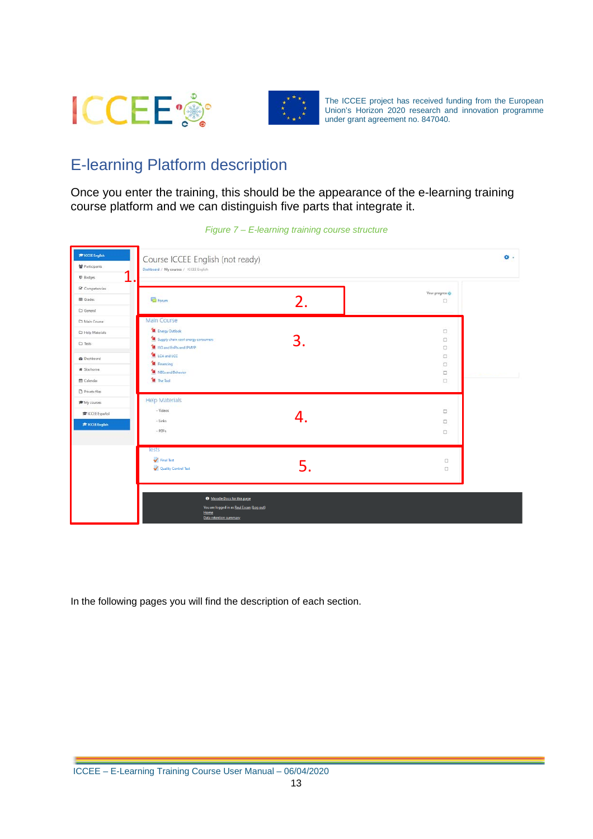



## <span id="page-14-0"></span>E-learning Platform description

Once you enter the training, this should be the appearance of the e-learning training course platform and we can distinguish five parts that integrate it.

<span id="page-14-1"></span>

*Figure 7 – E-learning training course structure*

In the following pages you will find the description of each section.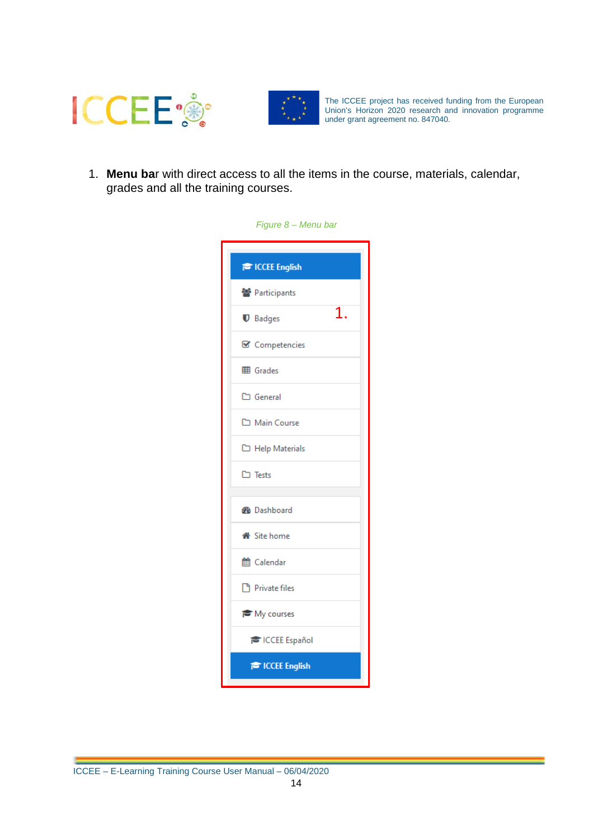



<span id="page-15-0"></span>1. **Menu ba**r with direct access to all the items in the course, materials, calendar, grades and all the training courses.

| Figure 8 - Menu bar     |
|-------------------------|
| <b>PE ICCEE English</b> |
| 警 Participants          |
| 1.<br><b>U</b> Badges   |
| ■ Competencies          |
| <b>田 Grades</b>         |
| □ General               |
| Main Course             |
| Help Materials          |
| $\square$ Tests         |
| <b>B</b> Dashboard      |
| <b>备</b> Site home      |
| th Calendar             |
| Private files           |
| My courses              |
| <b>TE ICCEE Español</b> |
| <b>E</b> ICCEE English  |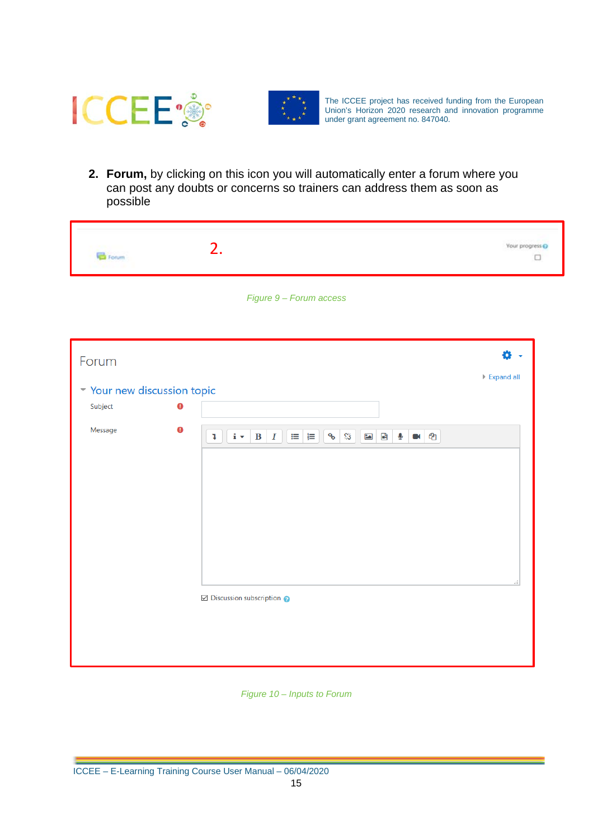



**2. Forum,** by clicking on this icon you will automatically enter a forum where you can post any doubts or concerns so trainers can address them as soon as possible

<span id="page-16-0"></span>

| Forum                                |           | 2.                                                                                                                                   | Your progress @<br>$\Box$        |
|--------------------------------------|-----------|--------------------------------------------------------------------------------------------------------------------------------------|----------------------------------|
|                                      |           | Figure 9 - Forum access                                                                                                              |                                  |
| Forum                                |           |                                                                                                                                      | 0                                |
|                                      |           |                                                                                                                                      | $\blacktriangleright$ Expand all |
| Vour new discussion topic<br>Subject | $\bullet$ |                                                                                                                                      |                                  |
| Message                              | $\bullet$ |                                                                                                                                      |                                  |
|                                      |           | $\mathbf{i} \cdot \mathbf{B} \mid I \mid \mathbf{E} \mid \mathbf{E}$<br>$Q_{\odot}$<br>彩<br>四日<br>ቂ<br>$\mathfrak{p}$<br>$\mathbf Q$ | al.                              |
|                                      |           | $\boxtimes$ Discussion subscription                                                                                                  |                                  |

<span id="page-16-1"></span>*Figure 10 – Inputs to Forum*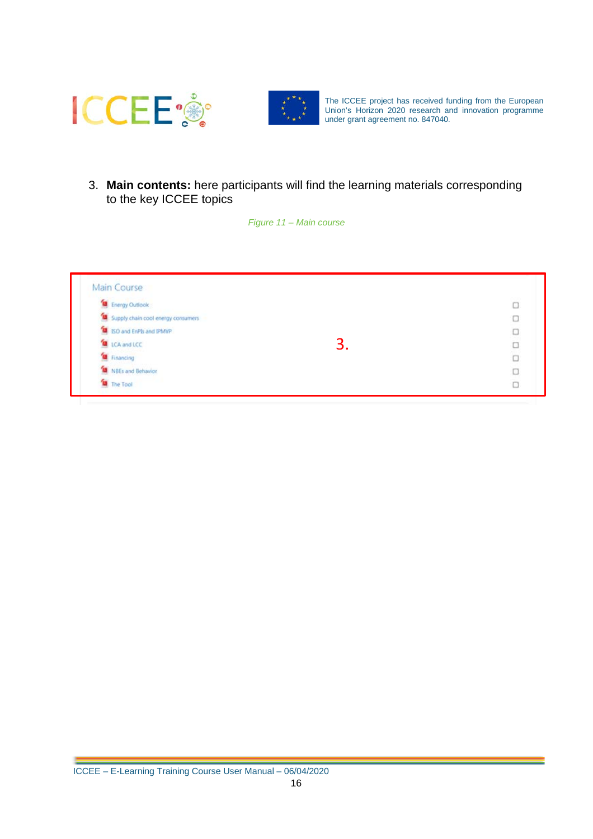



<span id="page-17-0"></span>3. **Main contents:** here participants will find the learning materials corresponding to the key ICCEE topics

#### *Figure 11 – Main course*

| Energy Outlook                     |    | O      |
|------------------------------------|----|--------|
| Supply chain cool energy consumers |    | О      |
| ISO and EnPIs and IPMVP            |    | O      |
| LCA and LCC                        | J. | $\Box$ |
| Financing                          |    | $\Box$ |
| NBEs and Behavior                  |    | O      |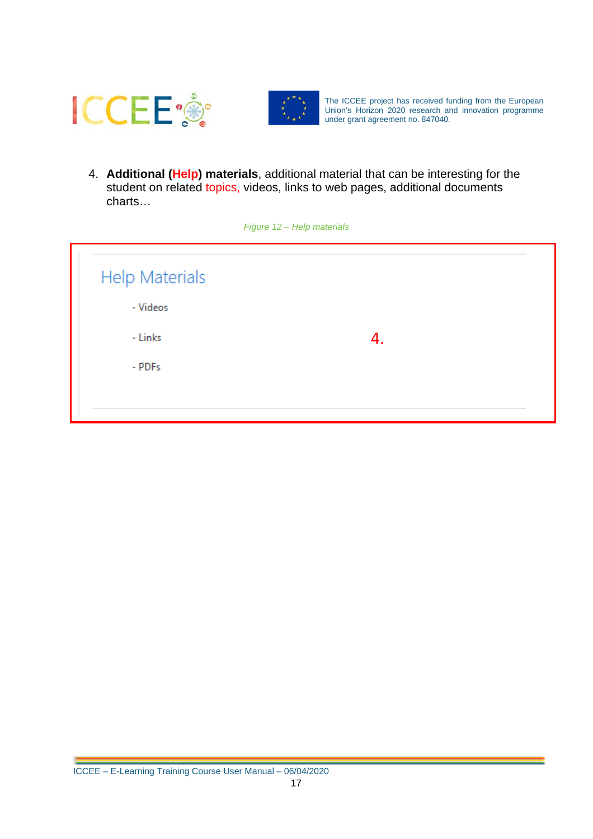



4. **Additional (Help) materials**, additional material that can be interesting for the student on related topics, videos, links to web pages, additional documents charts…

<span id="page-18-0"></span>

| Figure 12 - Help materials        |    |  |  |
|-----------------------------------|----|--|--|
| <b>Help Materials</b><br>- Videos |    |  |  |
| - Links                           | 4. |  |  |
| - PDFs                            |    |  |  |
|                                   |    |  |  |